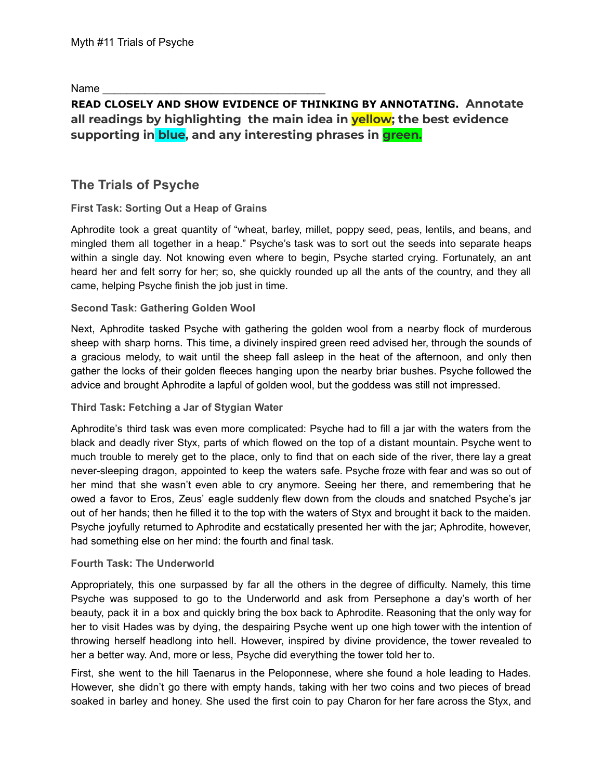Name

# **READ CLOSELY AND SHOW EVIDENCE OF THINKING BY ANNOTATING. Annotate all readings by highlighting the main idea in yellow; the best evidence supporting in blue, and any interesting phrases in green.**

# **The Trials of Psyche**

# **First Task: Sorting Out a Heap of Grains**

[Aphrodite](https://www.greekmythology.com/Olympians/Aphrodite/aphrodite.html) took a great quantity of "wheat, barley, millet, poppy seed, peas, lentils, and beans, and mingled them all together in a heap." [Psyche](https://www.greekmythology.com/Other_Gods/Minor_Gods/Psyche/psyche.html)'s task was to sort out the seeds into separate heaps within a single day. Not knowing even where to begin, [Psyche](https://www.greekmythology.com/Other_Gods/Minor_Gods/Psyche/psyche.html) started crying. Fortunately, an ant heard her and felt sorry for her; so, she quickly rounded up all the ants of the country, and they all came, helping [Psyche](https://www.greekmythology.com/Other_Gods/Minor_Gods/Psyche/psyche.html) finish the job just in time.

# **Second Task: Gathering Golden Wool**

Next, [Aphrodite](https://www.greekmythology.com/Olympians/Aphrodite/aphrodite.html) tasked [Psyche](https://www.greekmythology.com/Other_Gods/Minor_Gods/Psyche/psyche.html) with gathering the golden wool from a nearby flock of murderous sheep with sharp horns. This time, a divinely inspired green reed advised her, through the sounds of a gracious melody, to wait until the sheep fall asleep in the heat of the afternoon, and only then gather the locks of their golden fleeces hanging upon the nearby briar bushes. [Psyche](https://www.greekmythology.com/Other_Gods/Minor_Gods/Psyche/psyche.html) followed the advice and brought [Aphrodite](https://www.greekmythology.com/Olympians/Aphrodite/aphrodite.html) a lapful of golden wool, but the goddess was still not impressed.

### **Third Task: Fetching a Jar of Stygian Water**

[Aphrodite'](https://www.greekmythology.com/Olympians/Aphrodite/aphrodite.html)s third task was even more complicated: [Psyche](https://www.greekmythology.com/Other_Gods/Minor_Gods/Psyche/psyche.html) had to fill a jar with the waters from the black and deadly river [Styx](https://www.greekmythology.com/Titans/Styx/styx.html), parts of which flowed on the top of a distant mountain. [Psyche](https://www.greekmythology.com/Other_Gods/Minor_Gods/Psyche/psyche.html) went to much trouble to merely get to the place, only to find that on each side of the river, there lay a great never-sleeping dragon, appointed to keep the waters safe. [Psyche](https://www.greekmythology.com/Other_Gods/Minor_Gods/Psyche/psyche.html) froze with fear and was so out of her mind that she wasn't even able to cry anymore. Seeing her there, and remembering that he owed a favor to [Eros](https://www.greekmythology.com/Other_Gods/Eros/eros.html), [Zeus'](https://www.greekmythology.com/Olympians/Zeus/zeus.html) eagle suddenly flew down from the clouds and snatched [Psyche'](https://www.greekmythology.com/Other_Gods/Minor_Gods/Psyche/psyche.html)s jar out of her hands; then he filled it to the top with the waters of [Styx](https://www.greekmythology.com/Titans/Styx/styx.html) and brought it back to the maiden. [Psyche](https://www.greekmythology.com/Other_Gods/Minor_Gods/Psyche/psyche.html) joyfully returned to [Aphrodite](https://www.greekmythology.com/Olympians/Aphrodite/aphrodite.html) and ecstatically presented her with the jar; [Aphrodite](https://www.greekmythology.com/Olympians/Aphrodite/aphrodite.html), however, had something else on her mind: the fourth and final task.

### **Fourth Task: The Underworld**

Appropriately, this one surpassed by far all the others in the degree of difficulty. Namely, this time [Psyche](https://www.greekmythology.com/Other_Gods/Minor_Gods/Psyche/psyche.html) was supposed to go to the Underworld and ask from [Persephone](https://www.greekmythology.com/Other_Gods/Persephone/persephone.html) a day's worth of her beauty, pack it in a box and quickly bring the box back to [Aphrodite.](https://www.greekmythology.com/Olympians/Aphrodite/aphrodite.html) Reasoning that the only way for her to visit [Hades](https://www.greekmythology.com/Olympians/Hades/hades.html) was by dying, the despairing [Psyche](https://www.greekmythology.com/Other_Gods/Minor_Gods/Psyche/psyche.html) went up one high tower with the intention of throwing herself headlong into hell. However, inspired by divine providence, the tower revealed to her a better way. And, more or less, [Psyche](https://www.greekmythology.com/Other_Gods/Minor_Gods/Psyche/psyche.html) did everything the tower told her to.

First, she went to the hill Taenarus in the Peloponnese, where she found a hole leading to [Hades.](https://www.greekmythology.com/Olympians/Hades/hades.html) However, she didn't go there with empty hands, taking with her two coins and two pieces of bread soaked in barley and honey. She used the first coin to pay Charon for her fare across the [Styx](https://www.greekmythology.com/Titans/Styx/styx.html), and